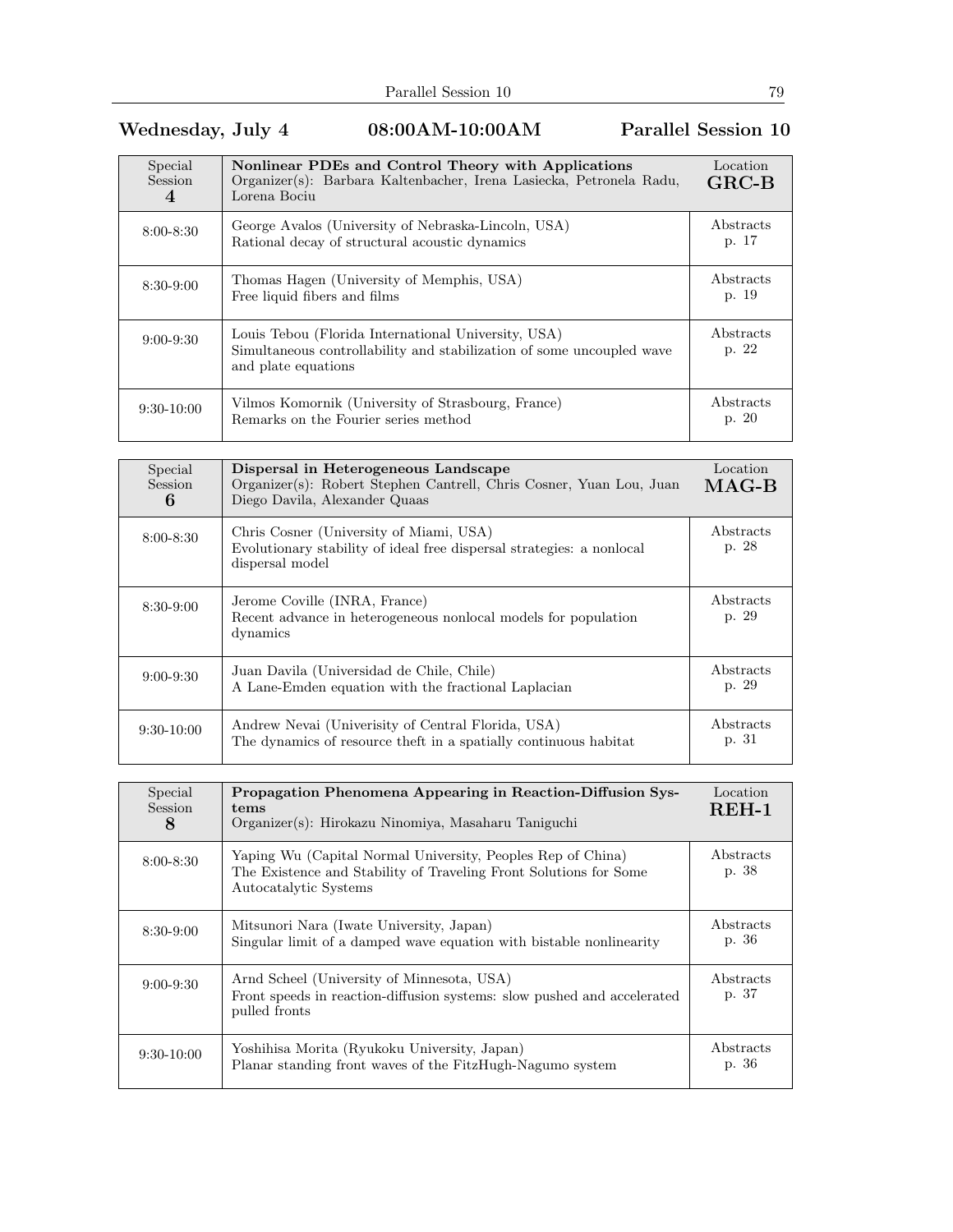## Wednesday, July 4 08:00AM-10:00AM Parallel Session 10

| Special<br><b>Session</b><br>4 | Nonlinear PDEs and Control Theory with Applications<br>Organizer(s): Barbara Kaltenbacher, Irena Lasiecka, Petronela Radu,<br>Lorena Bociu          | Location<br>$GRC-B$ |
|--------------------------------|-----------------------------------------------------------------------------------------------------------------------------------------------------|---------------------|
| $8:00 - 8:30$                  | George Avalos (University of Nebraska-Lincoln, USA)<br>Rational decay of structural acoustic dynamics                                               | Abstracts<br>p. 17  |
| $8:30-9:00$                    | Thomas Hagen (University of Memphis, USA)<br>Free liquid fibers and films                                                                           | Abstracts<br>p. 19  |
| $9:00-9:30$                    | Louis Tebou (Florida International University, USA)<br>Simultaneous controllability and stabilization of some uncoupled wave<br>and plate equations | Abstracts<br>p. 22  |
| $9:30-10:00$                   | Vilmos Komornik (University of Strasbourg, France)<br>Remarks on the Fourier series method                                                          | Abstracts<br>p. 20  |

| Special<br><b>Session</b><br>6 | Dispersal in Heterogeneous Landscape<br>Organizer(s): Robert Stephen Cantrell, Chris Cosner, Yuan Lou, Juan<br>Diego Davila, Alexander Quaas | Location<br>$MAG-B$ |
|--------------------------------|----------------------------------------------------------------------------------------------------------------------------------------------|---------------------|
| $8:00 - 8:30$                  | Chris Cosner (University of Miami, USA)<br>Evolutionary stability of ideal free dispersal strategies: a nonlocal<br>dispersal model          | Abstracts<br>p. 28  |
| $8:30-9:00$                    | Jerome Coville (INRA, France)<br>Recent advance in heterogeneous nonlocal models for population<br>dynamics                                  | Abstracts<br>p. 29  |
| $9:00 - 9:30$                  | Juan Davila (Universidad de Chile, Chile)<br>A Lane-Emden equation with the fractional Laplacian                                             | Abstracts<br>p. 29  |
| $9:30-10:00$                   | Andrew Nevai (University of Central Florida, USA)<br>The dynamics of resource the ft in a spatially continuous habitat                       | Abstracts<br>p. 31  |

| Special<br>Session<br>8 | Propagation Phenomena Appearing in Reaction-Diffusion Sys-<br>tems<br>Organizer(s): Hirokazu Ninomiya, Masaharu Taniguchi                                 | Location<br>$REH-1$ |
|-------------------------|-----------------------------------------------------------------------------------------------------------------------------------------------------------|---------------------|
| $8:00 - 8:30$           | Yaping Wu (Capital Normal University, Peoples Rep of China)<br>The Existence and Stability of Traveling Front Solutions for Some<br>Autocatalytic Systems | Abstracts<br>p. 38  |
| $8:30-9:00$             | Mitsunori Nara (Iwate University, Japan)<br>Singular limit of a damped wave equation with bistable nonlinearity                                           | Abstracts<br>p. 36  |
| $9:00 - 9:30$           | Arnd Scheel (University of Minnesota, USA)<br>Front speeds in reaction-diffusion systems: slow pushed and accelerated<br>pulled fronts                    | Abstracts<br>p. 37  |
| $9:30-10:00$            | Yoshihisa Morita (Ryukoku University, Japan)<br>Planar standing front waves of the FitzHugh-Nagumo system                                                 | Abstracts<br>p. 36  |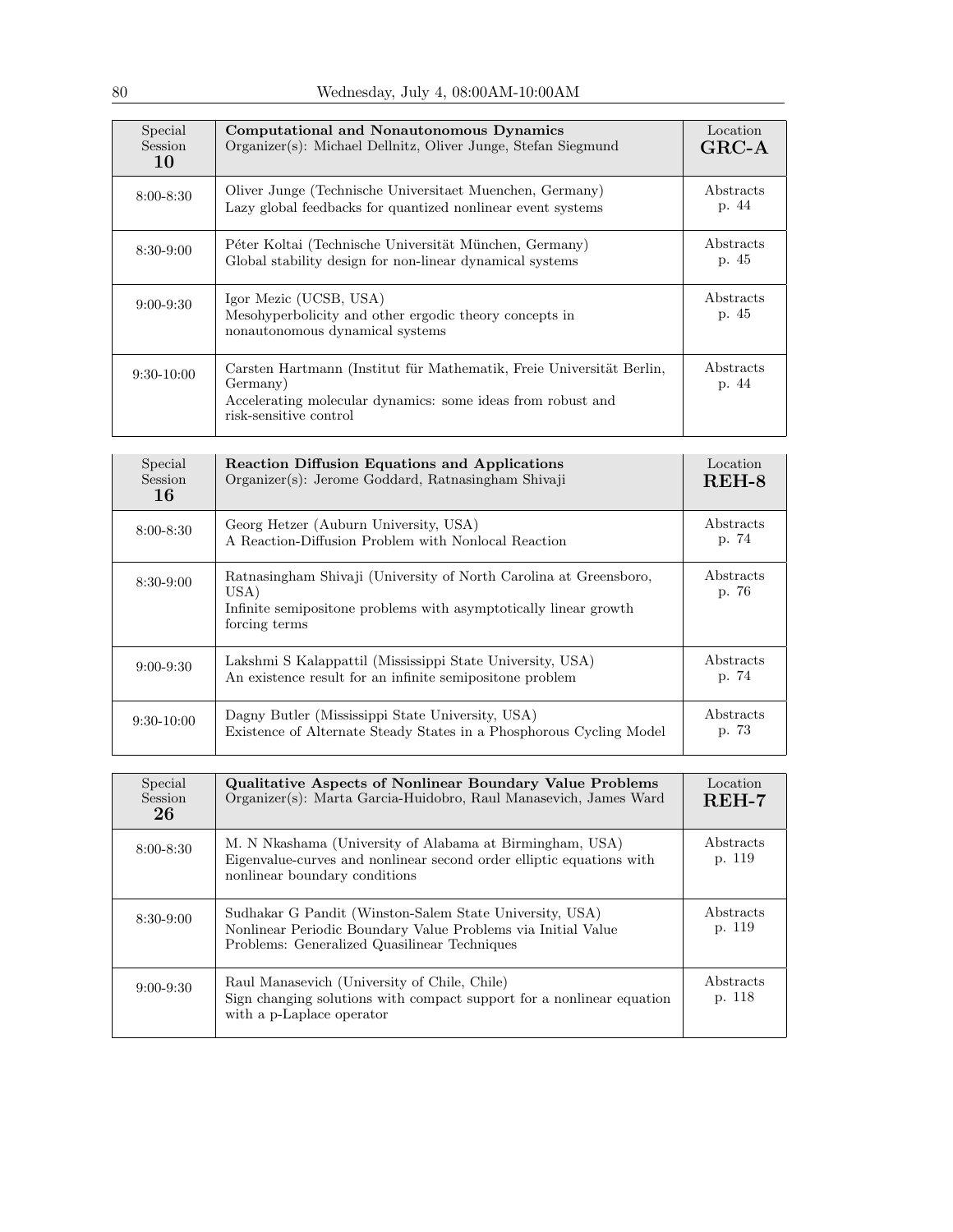| Special<br><b>Session</b><br>10 | Computational and Nonautonomous Dynamics<br>Organizer(s): Michael Dellnitz, Oliver Junge, Stefan Siegmund                                                                 | Location<br>$GRC-A$ |
|---------------------------------|---------------------------------------------------------------------------------------------------------------------------------------------------------------------------|---------------------|
| $8:00 - 8:30$                   | Oliver Junge (Technische Universitaet Muenchen, Germany)<br>Lazy global feedbacks for quantized nonlinear event systems                                                   | Abstracts<br>p. 44  |
| $8:30-9:00$                     | Péter Koltai (Technische Universität München, Germany)<br>Global stability design for non-linear dynamical systems                                                        | Abstracts<br>p. 45  |
| $9:00 - 9:30$                   | Igor Mezic (UCSB, USA)<br>Mesohyperbolicity and other ergodic theory concepts in<br>nonautonomous dynamical systems                                                       | Abstracts<br>p. 45  |
| $9:30-10:00$                    | Carsten Hartmann (Institut für Mathematik, Freie Universität Berlin,<br>Germany)<br>Accelerating molecular dynamics: some ideas from robust and<br>risk-sensitive control | Abstracts<br>p. 44  |

| Special<br><b>Session</b><br>16 | <b>Reaction Diffusion Equations and Applications</b><br>Organizer(s): Jerome Goddard, Ratnasingham Shivaji                                                     | Location<br>REH-8         |
|---------------------------------|----------------------------------------------------------------------------------------------------------------------------------------------------------------|---------------------------|
| $8:00 - 8:30$                   | Georg Hetzer (Auburn University, USA)<br>A Reaction-Diffusion Problem with Nonlocal Reaction                                                                   | <b>Abstracts</b><br>p. 74 |
| $8:30-9:00$                     | Ratnasingham Shivaji (University of North Carolina at Greensboro,<br>USA)<br>Infinite semiposition problems with asymptotically linear growth<br>forcing terms | Abstracts<br>p. 76        |
| $9:00 - 9:30$                   | Lakshmi S Kalappattil (Mississippi State University, USA)<br>An existence result for an infinite semiposition problem                                          | Abstracts<br>p. 74        |
| $9:30-10:00$                    | Dagny Butler (Mississippi State University, USA)<br>Existence of Alternate Steady States in a Phosphorous Cycling Model                                        | Abstracts<br>p. 73        |

| Special<br>Session<br>26 | <b>Qualitative Aspects of Nonlinear Boundary Value Problems</b><br>Organizer(s): Marta Garcia-Huidobro, Raul Manasevich, James Ward                                     | Location<br>$REH-7$        |
|--------------------------|-------------------------------------------------------------------------------------------------------------------------------------------------------------------------|----------------------------|
| $8:00 - 8:30$            | M. N Nkashama (University of Alabama at Birmingham, USA)<br>Eigenvalue-curves and nonlinear second order elliptic equations with<br>nonlinear boundary conditions       | <i>Abstracts</i><br>p. 119 |
| $8:30-9:00$              | Sudhakar G Pandit (Winston-Salem State University, USA)<br>Nonlinear Periodic Boundary Value Problems via Initial Value<br>Problems: Generalized Quasilinear Techniques | Abstracts<br>p. 119        |
| $9:00 - 9:30$            | Raul Manasevich (University of Chile, Chile)<br>Sign changing solutions with compact support for a nonlinear equation<br>with a p-Laplace operator                      | Abstracts<br>p. 118        |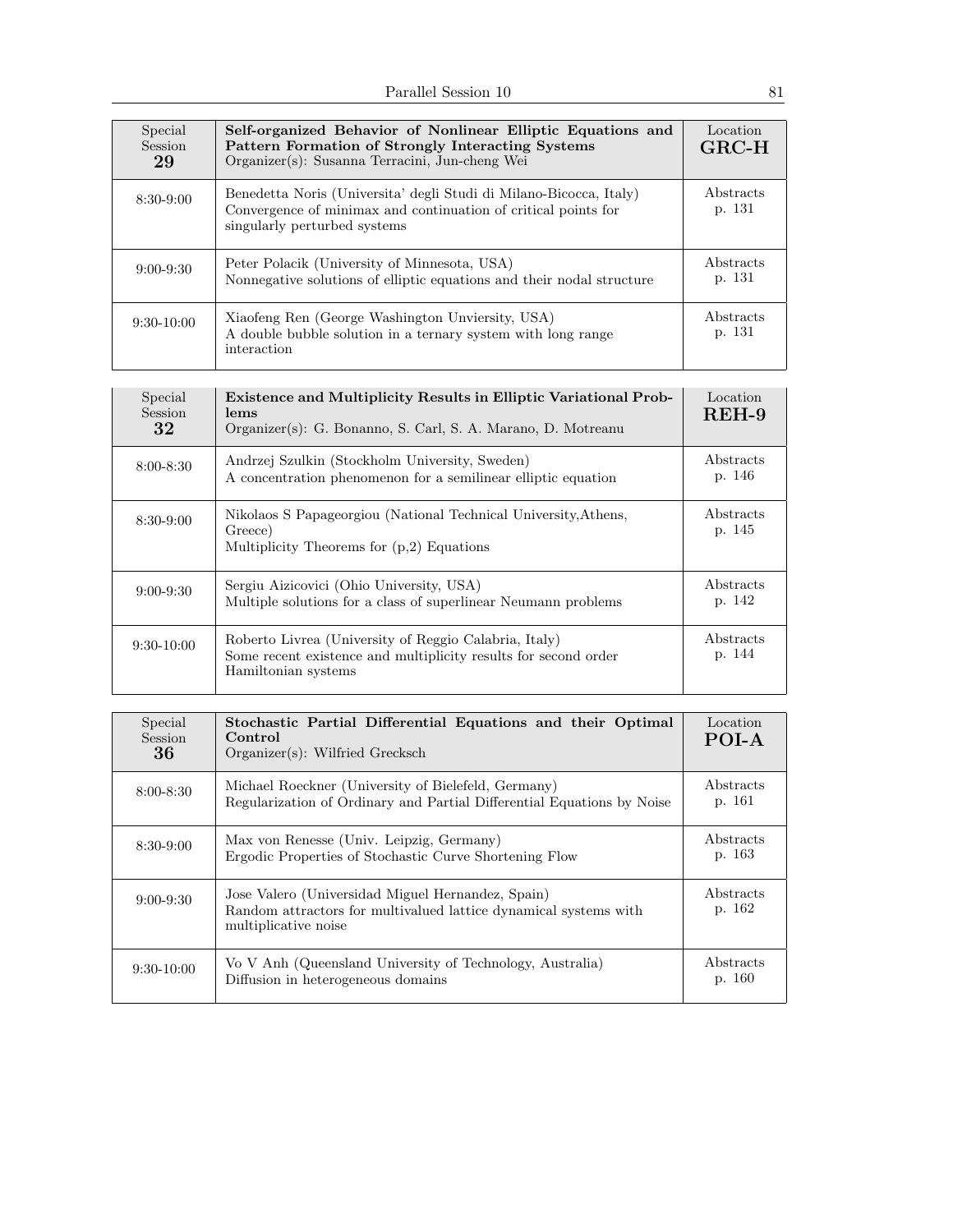| Special<br>Session<br>29 | Self-organized Behavior of Nonlinear Elliptic Equations and<br>Pattern Formation of Strongly Interacting Systems<br>Organizer(s): Susanna Terracini, Jun-cheng Wei   | Location<br>$GRC-H$ |
|--------------------------|----------------------------------------------------------------------------------------------------------------------------------------------------------------------|---------------------|
| $8:30-9:00$              | Benedetta Noris (Universita' degli Studi di Milano-Bicocca, Italy)<br>Convergence of minimax and continuation of critical points for<br>singularly perturbed systems | Abstracts<br>p. 131 |
| $9:00 - 9:30$            | Peter Polacik (University of Minnesota, USA)<br>Nonnegative solutions of elliptic equations and their nodal structure                                                | Abstracts<br>p. 131 |
| $9:30-10:00$             | Xiaofeng Ren (George Washington Unviersity, USA)<br>A double bubble solution in a ternary system with long range<br>interaction                                      | Abstracts<br>p. 131 |

| Special<br>Session<br>32 | <b>Existence and Multiplicity Results in Elliptic Variational Prob-</b><br>lems<br>Organizer(s): G. Bonanno, S. Carl, S. A. Marano, D. Motreanu | Location<br>$REH-9$ |
|--------------------------|-------------------------------------------------------------------------------------------------------------------------------------------------|---------------------|
| $8:00 - 8:30$            | Andrzej Szulkin (Stockholm University, Sweden)<br>A concentration phenomenon for a semilinear elliptic equation                                 | Abstracts<br>p. 146 |
| $8:30-9:00$              | Nikolaos S Papageorgiou (National Technical University, Athens,<br>Greece)<br>Multiplicity Theorems for $(p,2)$ Equations                       | Abstracts<br>p. 145 |
| $9:00 - 9:30$            | Sergiu Aizicovici (Ohio University, USA)<br>Multiple solutions for a class of superlinear Neumann problems                                      | Abstracts<br>p. 142 |
| $9:30-10:00$             | Roberto Livrea (University of Reggio Calabria, Italy)<br>Some recent existence and multiplicity results for second order<br>Hamiltonian systems | Abstracts<br>p. 144 |

| Special<br>Session<br>36 | Stochastic Partial Differential Equations and their Optimal<br>Control<br>$Organizer(s):$ Wilfried Grecksch                                   | Location<br>POI-A   |
|--------------------------|-----------------------------------------------------------------------------------------------------------------------------------------------|---------------------|
| $8:00 - 8:30$            | Michael Roeckner (University of Bielefeld, Germany)<br>Regularization of Ordinary and Partial Differential Equations by Noise                 | Abstracts<br>p. 161 |
| $8:30-9:00$              | Max von Renesse (Univ. Leipzig, Germany)<br>Ergodic Properties of Stochastic Curve Shortening Flow                                            | Abstracts<br>p. 163 |
| $9:00 - 9:30$            | Jose Valero (Universidad Miguel Hernandez, Spain)<br>Random attractors for multivalued lattice dynamical systems with<br>multiplicative noise | Abstracts<br>p. 162 |
| $9:30-10:00$             | Vo V Anh (Queensland University of Technology, Australia)<br>Diffusion in heterogeneous domains                                               | Abstracts<br>p. 160 |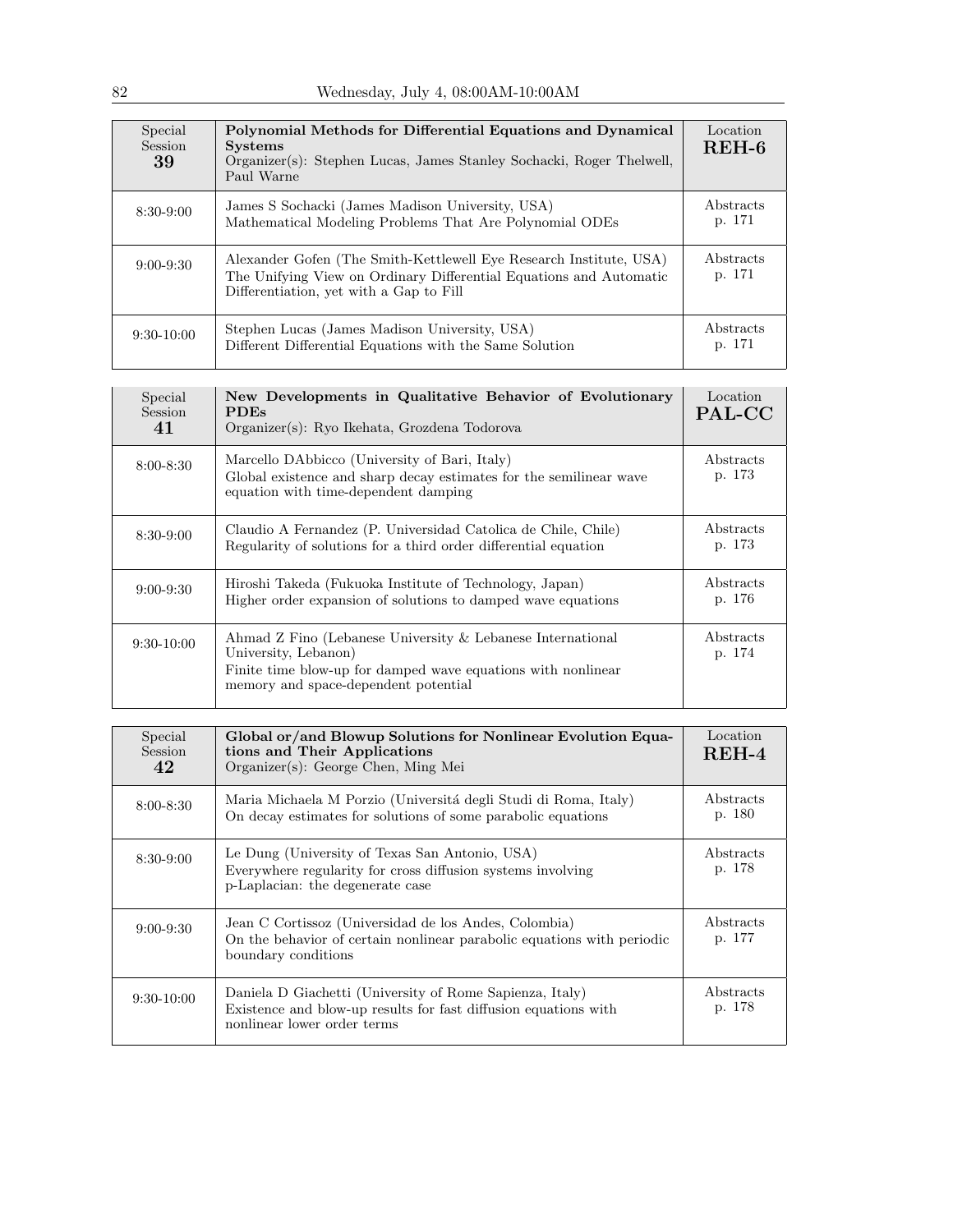| Special<br>Session<br>39 | Polynomial Methods for Differential Equations and Dynamical<br><b>Systems</b><br>Organizer(s): Stephen Lucas, James Stanley Sochacki, Roger Thelwell,<br>Paul Warne                 | Location<br>REH-6          |
|--------------------------|-------------------------------------------------------------------------------------------------------------------------------------------------------------------------------------|----------------------------|
| $8:30-9:00$              | James S Sochacki (James Madison University, USA)<br>Mathematical Modeling Problems That Are Polynomial ODEs                                                                         | Abstracts<br>p. 171        |
| $9:00 - 9:30$            | Alexander Gofen (The Smith-Kettlewell Eye Research Institute, USA)<br>The Unifying View on Ordinary Differential Equations and Automatic<br>Differentiation, yet with a Gap to Fill | <b>Abstracts</b><br>p. 171 |
| $9:30-10:00$             | Stephen Lucas (James Madison University, USA)<br>Different Differential Equations with the Same Solution                                                                            | Abstracts<br>p. 171        |

| Special<br><b>Session</b><br>41 | New Developments in Qualitative Behavior of Evolutionary<br><b>PDEs</b><br>Organizer(s): Ryo Ikehata, Grozdena Todorova                                                                    | Location<br>PAL-CC  |
|---------------------------------|--------------------------------------------------------------------------------------------------------------------------------------------------------------------------------------------|---------------------|
| $8:00 - 8:30$                   | Marcello DAbbicco (University of Bari, Italy)<br>Global existence and sharp decay estimates for the semilinear wave<br>equation with time-dependent damping                                | Abstracts<br>p. 173 |
| $8:30-9:00$                     | Claudio A Fernandez (P. Universidad Catolica de Chile, Chile)<br>Regularity of solutions for a third order differential equation                                                           | Abstracts<br>p. 173 |
| $9:00 - 9:30$                   | Hiroshi Takeda (Fukuoka Institute of Technology, Japan)<br>Higher order expansion of solutions to damped wave equations                                                                    | Abstracts<br>p. 176 |
| $9:30-10:00$                    | Ahmad Z Fino (Lebanese University & Lebanese International<br>University, Lebanon)<br>Finite time blow-up for damped wave equations with nonlinear<br>memory and space-dependent potential | Abstracts<br>p. 174 |

| Special<br><b>Session</b><br>42 | Global or/and Blowup Solutions for Nonlinear Evolution Equa-<br>tions and Their Applications<br>Organizer(s): George Chen, Ming Mei                        | Location<br>$REH-4$ |
|---------------------------------|------------------------------------------------------------------------------------------------------------------------------------------------------------|---------------------|
| $8:00 - 8:30$                   | Maria Michaela M Porzio (Universitá degli Studi di Roma, Italy)<br>On decay estimates for solutions of some parabolic equations                            | Abstracts<br>p. 180 |
| $8:30-9:00$                     | Le Dung (University of Texas San Antonio, USA)<br>Everywhere regularity for cross diffusion systems involving<br>p-Laplacian: the degenerate case          | Abstracts<br>p. 178 |
| $9:00 - 9:30$                   | Jean C Cortissoz (Universidad de los Andes, Colombia)<br>On the behavior of certain nonlinear parabolic equations with periodic<br>boundary conditions     | Abstracts<br>p. 177 |
| $9:30-10:00$                    | Daniela D Giachetti (University of Rome Sapienza, Italy)<br>Existence and blow-up results for fast diffusion equations with<br>nonlinear lower order terms | Abstracts<br>p. 178 |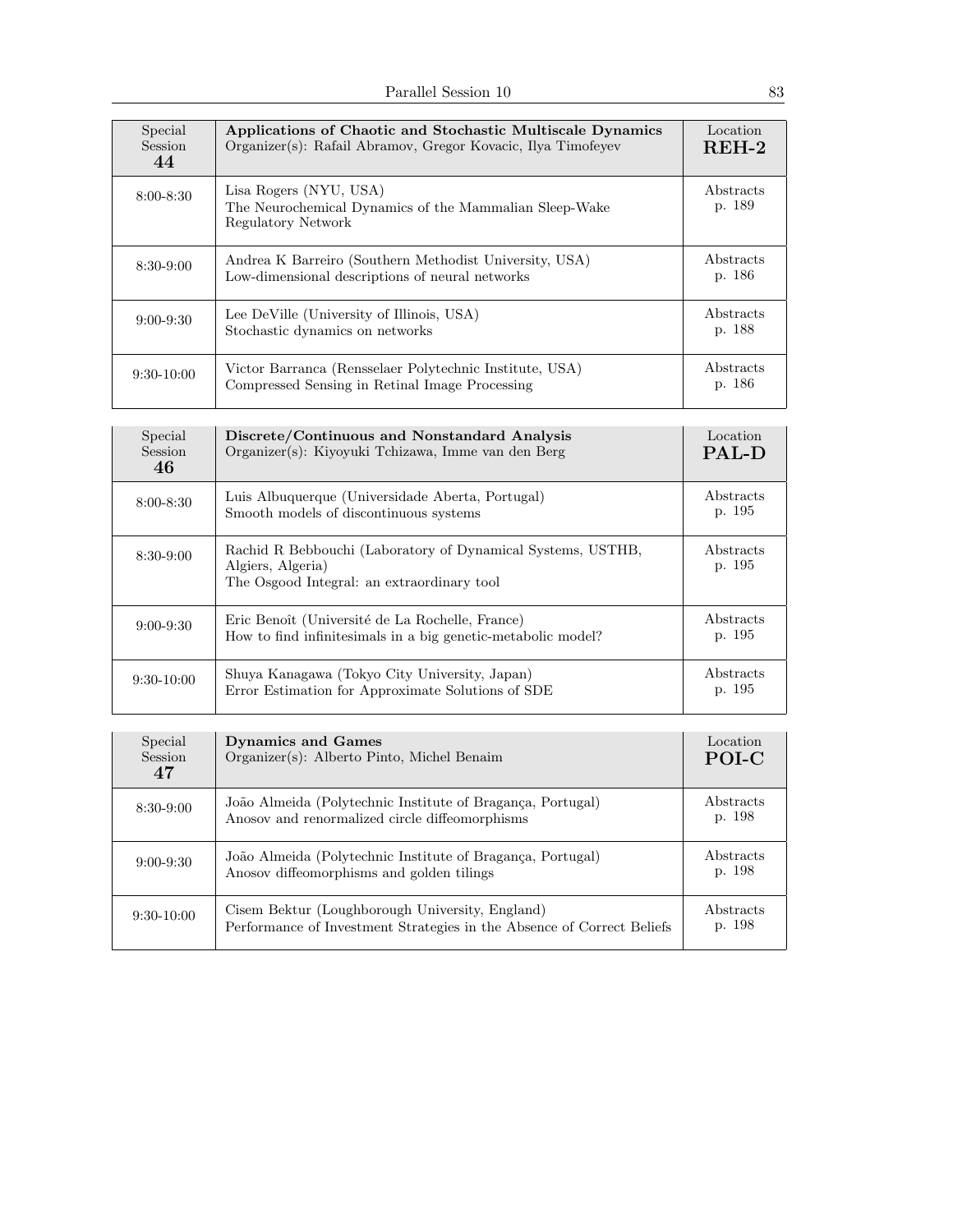| Special<br><b>Session</b><br>44 | Applications of Chaotic and Stochastic Multiscale Dynamics<br>Organizer(s): Rafail Abramov, Gregor Kovacic, Ilya Timofeyev | Location<br>$REH-2$ |
|---------------------------------|----------------------------------------------------------------------------------------------------------------------------|---------------------|
| $8:00 - 8:30$                   | Lisa Rogers (NYU, USA)<br>The Neurochemical Dynamics of the Mammalian Sleep-Wake<br>Regulatory Network                     | Abstracts<br>p. 189 |
| $8:30-9:00$                     | Andrea K Barreiro (Southern Methodist University, USA)<br>Low-dimensional descriptions of neural networks                  | Abstracts<br>p. 186 |
| $9:00 - 9:30$                   | Lee DeVille (University of Illinois, USA)<br>Stochastic dynamics on networks                                               | Abstracts<br>p. 188 |
| $9:30-10:00$                    | Victor Barranca (Rensselaer Polytechnic Institute, USA)<br>Compressed Sensing in Retinal Image Processing                  | Abstracts<br>p. 186 |

| Special<br><b>Session</b><br>46 | Discrete/Continuous and Nonstandard Analysis<br>Organizer(s): Kiyoyuki Tchizawa, Imme van den Berg                             | Location<br><b>PAL-D</b> |
|---------------------------------|--------------------------------------------------------------------------------------------------------------------------------|--------------------------|
| $8:00 - 8:30$                   | Luis Albuquerque (Universidade Aberta, Portugal)<br>Smooth models of discontinuous systems                                     | Abstracts<br>p. 195      |
| $8:30-9:00$                     | Rachid R Bebbouchi (Laboratory of Dynamical Systems, USTHB,<br>Algiers, Algeria)<br>The Osgood Integral: an extraordinary tool | Abstracts<br>p. 195      |
| $9:00 - 9:30$                   | Eric Benoît (Université de La Rochelle, France)<br>How to find infinitesimals in a big genetic-metabolic model?                | Abstracts<br>p. 195      |
| $9:30-10:00$                    | Shuya Kanagawa (Tokyo City University, Japan)<br>Error Estimation for Approximate Solutions of SDE                             | Abstracts<br>p. 195      |

| Special<br>Session<br>47 | <b>Dynamics and Games</b><br>Organizer(s): Alberto Pinto, Michel Benaim                                                   | Location<br>POI-C          |
|--------------------------|---------------------------------------------------------------------------------------------------------------------------|----------------------------|
| $8:30-9:00$              | João Almeida (Polytechnic Institute of Bragança, Portugal)<br>Anosov and renormalized circle diffeomorphisms              | <b>Abstracts</b><br>p. 198 |
| $9:00 - 9:30$            | João Almeida (Polytechnic Institute of Bragança, Portugal)<br>Anosov diffeomorphisms and golden tilings                   | Abstracts<br>p. 198        |
| $9:30-10:00$             | Cisem Bektur (Loughborough University, England)<br>Performance of Investment Strategies in the Absence of Correct Beliefs | <b>Abstracts</b><br>p. 198 |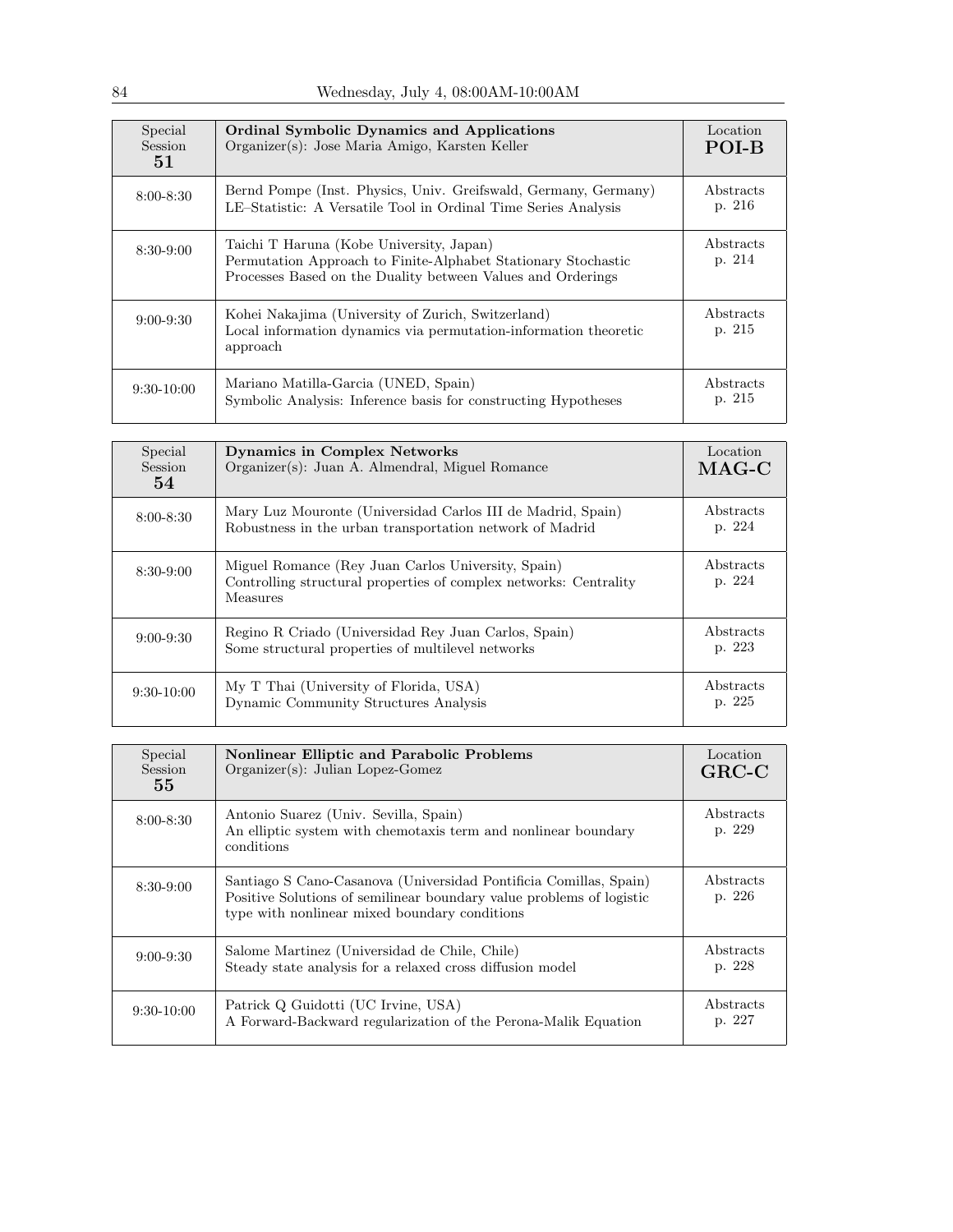| Special<br>Session<br>51 | <b>Ordinal Symbolic Dynamics and Applications</b><br>Organizer(s): Jose Maria Amigo, Karsten Keller                                                                      | Location<br>POI-B   |
|--------------------------|--------------------------------------------------------------------------------------------------------------------------------------------------------------------------|---------------------|
| $8:00 - 8:30$            | Bernd Pompe (Inst. Physics, Univ. Greifswald, Germany, Germany)<br>LE-Statistic: A Versatile Tool in Ordinal Time Series Analysis                                        | Abstracts<br>p. 216 |
| $8:30-9:00$              | Taichi T Haruna (Kobe University, Japan)<br>Permutation Approach to Finite-Alphabet Stationary Stochastic<br>Processes Based on the Duality between Values and Orderings | Abstracts<br>p. 214 |
| $9:00 - 9:30$            | Kohei Nakajima (University of Zurich, Switzerland)<br>Local information dynamics via permutation-information theoretic<br>approach                                       | Abstracts<br>p. 215 |
| $9:30-10:00$             | Mariano Matilla-Garcia (UNED, Spain)<br>Symbolic Analysis: Inference basis for constructing Hypotheses                                                                   | Abstracts<br>p. 215 |

| Special<br>Session<br>54 | <b>Dynamics in Complex Networks</b><br>Organizer(s): Juan A. Almendral, Miguel Romance                                              | Location<br>$MAG-C$ |
|--------------------------|-------------------------------------------------------------------------------------------------------------------------------------|---------------------|
| $8:00 - 8:30$            | Mary Luz Mouronte (Universidad Carlos III de Madrid, Spain)<br>Robustness in the urban transportation network of Madrid             | Abstracts<br>p. 224 |
| $8:30-9:00$              | Miguel Romance (Rey Juan Carlos University, Spain)<br>Controlling structural properties of complex networks: Centrality<br>Measures | Abstracts<br>p. 224 |
| $9:00 - 9:30$            | Regino R Criado (Universidad Rey Juan Carlos, Spain)<br>Some structural properties of multilevel networks                           | Abstracts<br>p. 223 |
| $9:30-10:00$             | My T Thai (University of Florida, USA)<br>Dynamic Community Structures Analysis                                                     | Abstracts<br>p. 225 |

| Special<br>Session<br>55 | <b>Nonlinear Elliptic and Parabolic Problems</b><br>$Organizer(s):$ Julian Lopez-Gomez                                                                                                     | Location<br>$GRC-C$ |
|--------------------------|--------------------------------------------------------------------------------------------------------------------------------------------------------------------------------------------|---------------------|
| $8:00 - 8:30$            | Antonio Suarez (Univ. Sevilla, Spain)<br>An elliptic system with chemotaxis term and nonlinear boundary<br>conditions                                                                      | Abstracts<br>p. 229 |
| $8:30-9:00$              | Santiago S Cano-Casanova (Universidad Pontificia Comillas, Spain)<br>Positive Solutions of semilinear boundary value problems of logistic<br>type with nonlinear mixed boundary conditions | Abstracts<br>p. 226 |
| $9:00 - 9:30$            | Salome Martinez (Universidad de Chile, Chile)<br>Steady state analysis for a relaxed cross diffusion model                                                                                 | Abstracts<br>p. 228 |
| $9:30-10:00$             | Patrick Q Guidotti (UC Irvine, USA)<br>A Forward-Backward regularization of the Perona-Malik Equation                                                                                      | Abstracts<br>p. 227 |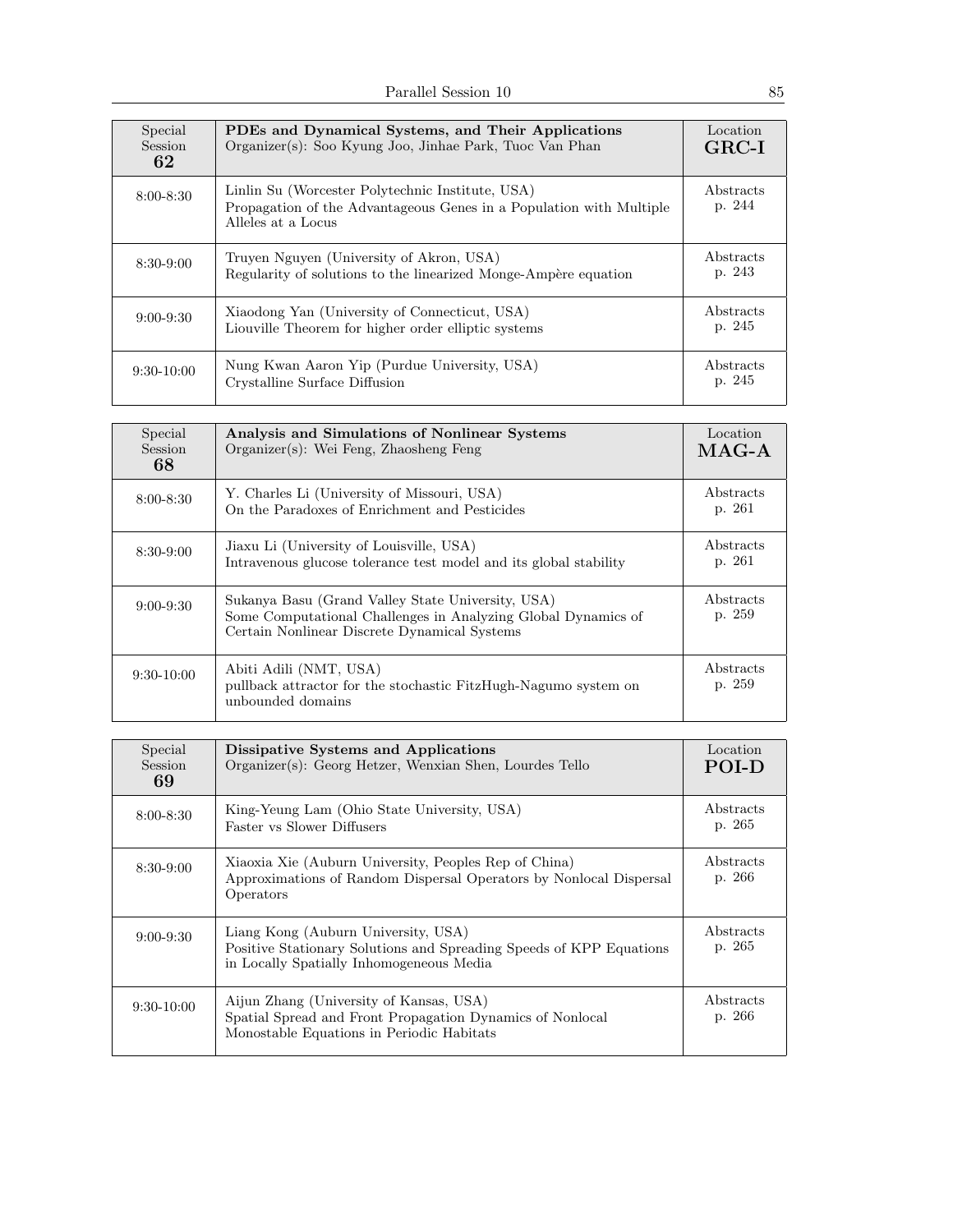| Special<br>Session<br>62 | PDEs and Dynamical Systems, and Their Applications<br>Organizer(s): Soo Kyung Joo, Jinhae Park, Tuoc Van Phan                                 | Location<br>$GRC-I$ |
|--------------------------|-----------------------------------------------------------------------------------------------------------------------------------------------|---------------------|
| $8:00 - 8:30$            | Linlin Su (Worcester Polytechnic Institute, USA)<br>Propagation of the Advantageous Genes in a Population with Multiple<br>Alleles at a Locus | Abstracts<br>p. 244 |
| $8:30-9:00$              | Truyen Nguyen (University of Akron, USA)<br>Regularity of solutions to the linearized Monge-Ampère equation                                   | Abstracts<br>p. 243 |
| $9:00 - 9:30$            | Xiaodong Yan (University of Connecticut, USA)<br>Liouville Theorem for higher order elliptic systems                                          | Abstracts<br>p. 245 |
| $9:30-10:00$             | Nung Kwan Aaron Yip (Purdue University, USA)<br>Crystalline Surface Diffusion                                                                 | Abstracts<br>p. 245 |

| Special<br><b>Session</b><br>68 | Analysis and Simulations of Nonlinear Systems<br>$Organizer(s)$ : Wei Feng, Zhaosheng Feng                                                                         | Location<br>$MAG-A$ |
|---------------------------------|--------------------------------------------------------------------------------------------------------------------------------------------------------------------|---------------------|
| $8:00 - 8:30$                   | Y. Charles Li (University of Missouri, USA)<br>On the Paradoxes of Enrichment and Pesticides                                                                       | Abstracts<br>p. 261 |
| $8:30-9:00$                     | Jiaxu Li (University of Louisville, USA)<br>Intravenous glucose tolerance test model and its global stability                                                      | Abstracts<br>p. 261 |
| $9:00 - 9:30$                   | Sukanya Basu (Grand Valley State University, USA)<br>Some Computational Challenges in Analyzing Global Dynamics of<br>Certain Nonlinear Discrete Dynamical Systems | Abstracts<br>p. 259 |
| $9:30-10:00$                    | Abiti Adili (NMT, USA)<br>pullback attractor for the stochastic FitzHugh-Nagumo system on<br>unbounded domains                                                     | Abstracts<br>p. 259 |

| Special<br>Session<br>69 | Dissipative Systems and Applications<br>Organizer(s): Georg Hetzer, Wenxian Shen, Lourdes Tello                                                        | Location<br>POI-D   |
|--------------------------|--------------------------------------------------------------------------------------------------------------------------------------------------------|---------------------|
| $8:00 - 8:30$            | King-Yeung Lam (Ohio State University, USA)<br><b>Faster vs Slower Diffusers</b>                                                                       | Abstracts<br>p. 265 |
| $8:30-9:00$              | Xiaoxia Xie (Auburn University, Peoples Rep of China)<br>Approximations of Random Dispersal Operators by Nonlocal Dispersal<br>Operators               | Abstracts<br>p. 266 |
| $9:00 - 9:30$            | Liang Kong (Auburn University, USA)<br>Positive Stationary Solutions and Spreading Speeds of KPP Equations<br>in Locally Spatially Inhomogeneous Media | Abstracts<br>p. 265 |
| $9:30-10:00$             | Aijun Zhang (University of Kansas, USA)<br>Spatial Spread and Front Propagation Dynamics of Nonlocal<br>Monostable Equations in Periodic Habitats      | Abstracts<br>p. 266 |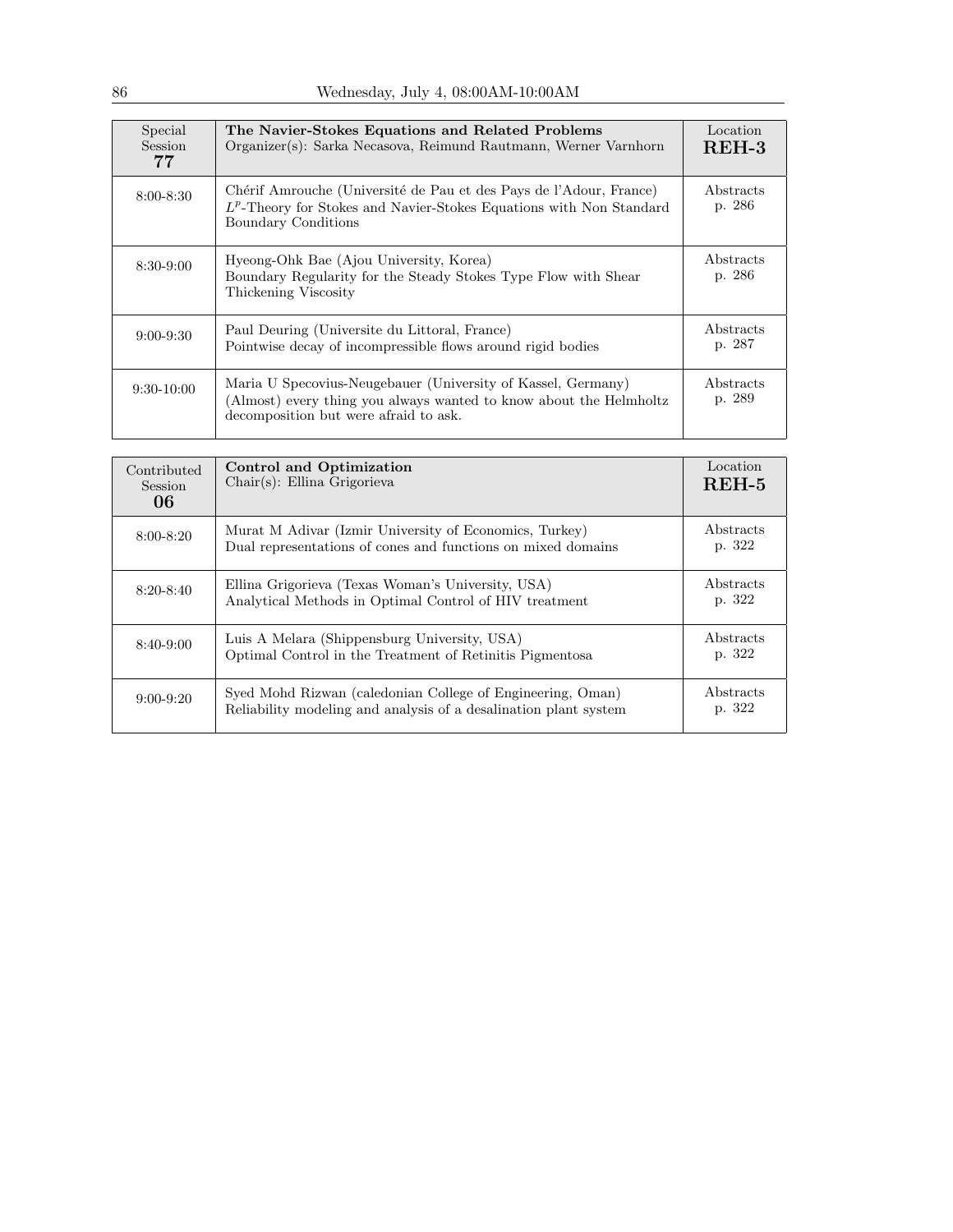| Special<br><b>Session</b><br>77 | The Navier-Stokes Equations and Related Problems<br>Organizer(s): Sarka Necasova, Reimund Rautmann, Werner Varnhorn                                                         | Location<br>$REH-3$ |
|---------------------------------|-----------------------------------------------------------------------------------------------------------------------------------------------------------------------------|---------------------|
| $8:00 - 8:30$                   | Chérif Amrouche (Université de Pau et des Pays de l'Adour, France)<br>$L^p$ -Theory for Stokes and Navier-Stokes Equations with Non Standard<br>Boundary Conditions         | Abstracts<br>p. 286 |
| $8:30-9:00$                     | Hyeong-Ohk Bae (Ajou University, Korea)<br>Boundary Regularity for the Steady Stokes Type Flow with Shear<br>Thickening Viscosity                                           | Abstracts<br>p. 286 |
| $9:00 - 9:30$                   | Paul Deuring (Universite du Littoral, France)<br>Pointwise decay of incompressible flows around rigid bodies                                                                | Abstracts<br>p. 287 |
| $9:30-10:00$                    | Maria U Specovius-Neugebauer (University of Kassel, Germany)<br>(Almost) every thing you always wanted to know about the Helmholtz<br>decomposition but were afraid to ask. | Abstracts<br>p. 289 |

| Contributed<br>Session<br>06 | <b>Control and Optimization</b><br>$Chair(s)$ : Ellina Grigorieva                                                              | Location<br>$REH-5$ |
|------------------------------|--------------------------------------------------------------------------------------------------------------------------------|---------------------|
| $8:00 - 8:20$                | Murat M Adivar (Izmir University of Economics, Turkey)<br>Dual representations of cones and functions on mixed domains         | Abstracts<br>p. 322 |
| $8:20 - 8:40$                | Ellina Grigorieva (Texas Woman's University, USA)<br>Analytical Methods in Optimal Control of HIV treatment                    | Abstracts<br>p. 322 |
| $8:40-9:00$                  | Luis A Melara (Shippensburg University, USA)<br>Optimal Control in the Treatment of Retinitis Pigmentosa                       | Abstracts<br>p. 322 |
| $9:00 - 9:20$                | Syed Mohd Rizwan (caledonian College of Engineering, Oman)<br>Reliability modeling and analysis of a desalination plant system | Abstracts<br>p. 322 |